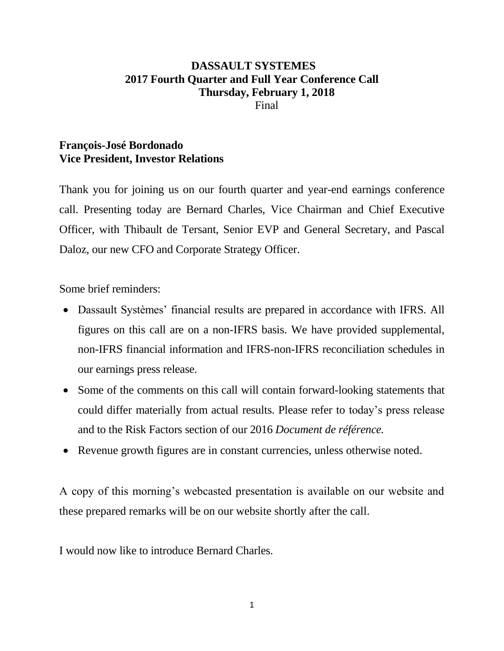# **DASSAULT SYSTEMES 2017 Fourth Quarter and Full Year Conference Call Thursday, February 1, 2018** Final

# **François-José Bordonado Vice President, Investor Relations**

Thank you for joining us on our fourth quarter and year-end earnings conference call. Presenting today are Bernard Charles, Vice Chairman and Chief Executive Officer, with Thibault de Tersant, Senior EVP and General Secretary, and Pascal Daloz, our new CFO and Corporate Strategy Officer.

Some brief reminders:

- Dassault Systèmes' financial results are prepared in accordance with IFRS. All figures on this call are on a non-IFRS basis. We have provided supplemental, non-IFRS financial information and IFRS-non-IFRS reconciliation schedules in our earnings press release.
- Some of the comments on this call will contain forward-looking statements that could differ materially from actual results. Please refer to today's press release and to the Risk Factors section of our 2016 *Document de référence.*
- Revenue growth figures are in constant currencies, unless otherwise noted.

A copy of this morning's webcasted presentation is available on our website and these prepared remarks will be on our website shortly after the call.

I would now like to introduce Bernard Charles.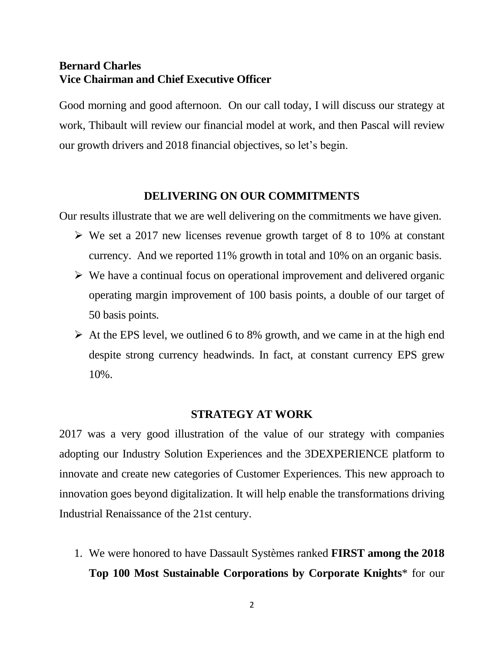## **Bernard Charles Vice Chairman and Chief Executive Officer**

Good morning and good afternoon. On our call today, I will discuss our strategy at work, Thibault will review our financial model at work, and then Pascal will review our growth drivers and 2018 financial objectives, so let's begin.

### **DELIVERING ON OUR COMMITMENTS**

Our results illustrate that we are well delivering on the commitments we have given.

- $\triangleright$  We set a 2017 new licenses revenue growth target of 8 to 10% at constant currency. And we reported 11% growth in total and 10% on an organic basis.
- $\triangleright$  We have a continual focus on operational improvement and delivered organic operating margin improvement of 100 basis points, a double of our target of 50 basis points.
- $\triangleright$  At the EPS level, we outlined 6 to 8% growth, and we came in at the high end despite strong currency headwinds. In fact, at constant currency EPS grew 10%.

### **STRATEGY AT WORK**

2017 was a very good illustration of the value of our strategy with companies adopting our Industry Solution Experiences and the 3DEXPERIENCE platform to innovate and create new categories of Customer Experiences. This new approach to innovation goes beyond digitalization. It will help enable the transformations driving Industrial Renaissance of the 21st century.

1. We were honored to have Dassault Systèmes ranked **FIRST among the 2018 Top 100 Most Sustainable Corporations by Corporate Knights**\* for our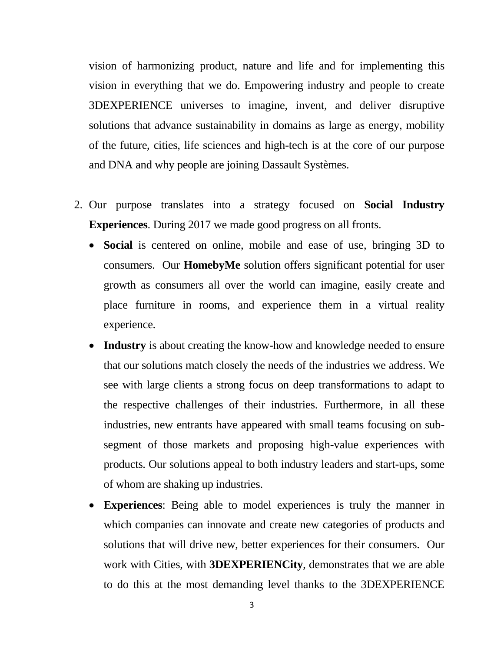vision of harmonizing product, nature and life and for implementing this vision in everything that we do. Empowering industry and people to create 3DEXPERIENCE universes to imagine, invent, and deliver disruptive solutions that advance sustainability in domains as large as energy, mobility of the future, cities, life sciences and high-tech is at the core of our purpose and DNA and why people are joining Dassault Systèmes.

- 2. Our purpose translates into a strategy focused on **Social Industry Experiences**. During 2017 we made good progress on all fronts.
	- **Social** is centered on online, mobile and ease of use, bringing 3D to consumers. Our **HomebyMe** solution offers significant potential for user growth as consumers all over the world can imagine, easily create and place furniture in rooms, and experience them in a virtual reality experience.
	- **Industry** is about creating the know-how and knowledge needed to ensure that our solutions match closely the needs of the industries we address. We see with large clients a strong focus on deep transformations to adapt to the respective challenges of their industries. Furthermore, in all these industries, new entrants have appeared with small teams focusing on subsegment of those markets and proposing high-value experiences with products. Our solutions appeal to both industry leaders and start-ups, some of whom are shaking up industries.
	- **Experiences**: Being able to model experiences is truly the manner in which companies can innovate and create new categories of products and solutions that will drive new, better experiences for their consumers. Our work with Cities, with **3DEXPERIENCity**, demonstrates that we are able to do this at the most demanding level thanks to the 3DEXPERIENCE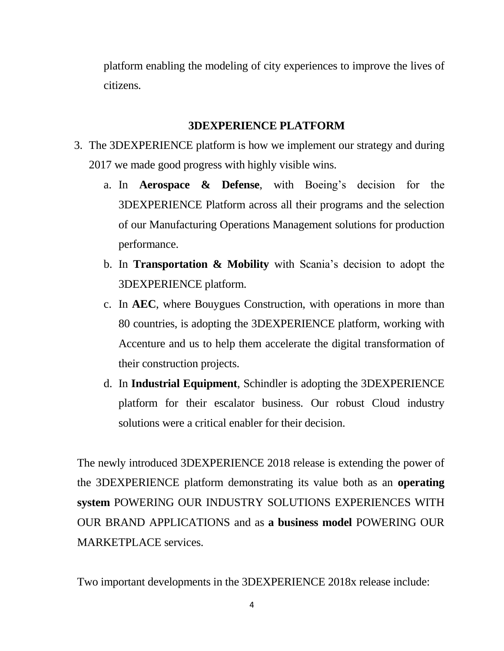platform enabling the modeling of city experiences to improve the lives of citizens.

## **3DEXPERIENCE PLATFORM**

- 3. The 3DEXPERIENCE platform is how we implement our strategy and during 2017 we made good progress with highly visible wins.
	- a. In **Aerospace & Defense**, with Boeing's decision for the 3DEXPERIENCE Platform across all their programs and the selection of our Manufacturing Operations Management solutions for production performance.
	- b. In **Transportation & Mobility** with Scania's decision to adopt the 3DEXPERIENCE platform.
	- c. In **AEC**, where Bouygues Construction, with operations in more than 80 countries, is adopting the 3DEXPERIENCE platform, working with Accenture and us to help them accelerate the digital transformation of their construction projects.
	- d. In **Industrial Equipment**, Schindler is adopting the 3DEXPERIENCE platform for their escalator business. Our robust Cloud industry solutions were a critical enabler for their decision.

The newly introduced 3DEXPERIENCE 2018 release is extending the power of the 3DEXPERIENCE platform demonstrating its value both as an **operating system** POWERING OUR INDUSTRY SOLUTIONS EXPERIENCES WITH OUR BRAND APPLICATIONS and as **a business model** POWERING OUR MARKETPLACE services.

Two important developments in the 3DEXPERIENCE 2018x release include: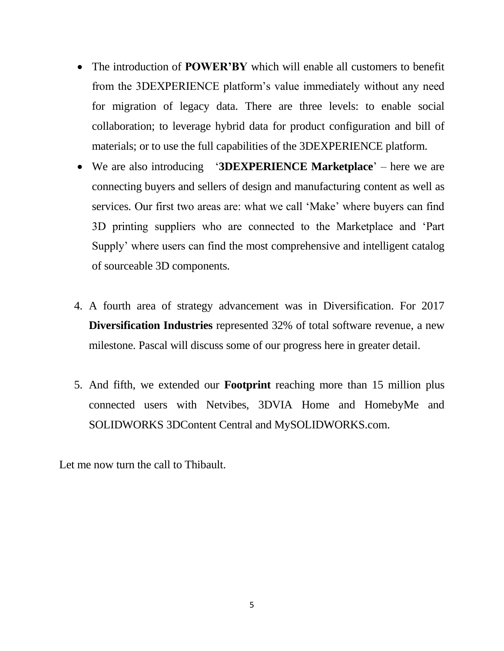- The introduction of **POWER'BY** which will enable all customers to benefit from the 3DEXPERIENCE platform's value immediately without any need for migration of legacy data. There are three levels: to enable social collaboration; to leverage hybrid data for product configuration and bill of materials; or to use the full capabilities of the 3DEXPERIENCE platform.
- We are also introducing '**3DEXPERIENCE Marketplace**' here we are connecting buyers and sellers of design and manufacturing content as well as services. Our first two areas are: what we call 'Make' where buyers can find 3D printing suppliers who are connected to the Marketplace and 'Part Supply' where users can find the most comprehensive and intelligent catalog of sourceable 3D components.
- 4. A fourth area of strategy advancement was in Diversification. For 2017 **Diversification Industries** represented 32% of total software revenue, a new milestone. Pascal will discuss some of our progress here in greater detail.
- 5. And fifth, we extended our **Footprint** reaching more than 15 million plus connected users with Netvibes, 3DVIA Home and HomebyMe and SOLIDWORKS 3DContent Central and MySOLIDWORKS.com.

Let me now turn the call to Thibault.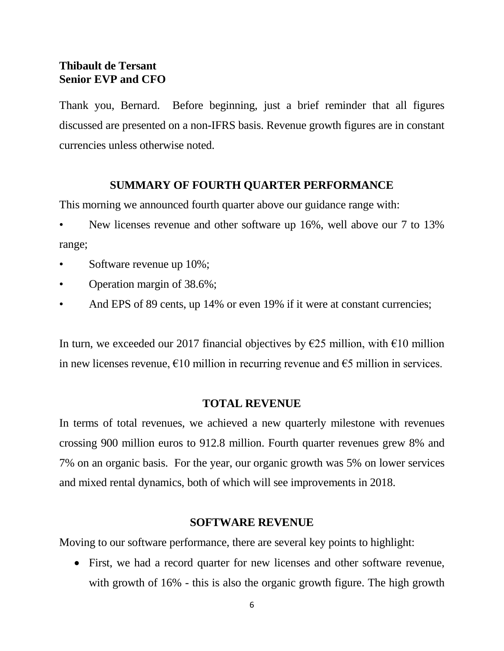# **Thibault de Tersant Senior EVP and CFO**

Thank you, Bernard. Before beginning, just a brief reminder that all figures discussed are presented on a non-IFRS basis. Revenue growth figures are in constant currencies unless otherwise noted.

## **SUMMARY OF FOURTH QUARTER PERFORMANCE**

This morning we announced fourth quarter above our guidance range with:

- New licenses revenue and other software up 16%, well above our 7 to 13% range;
- Software revenue up  $10\%$ ;
- Operation margin of 38.6%;
- And EPS of 89 cents, up 14% or even 19% if it were at constant currencies;

In turn, we exceeded our 2017 financial objectives by  $\epsilon$ 25 million, with  $\epsilon$ 10 million in new licenses revenue,  $\epsilon$ 10 million in recurring revenue and  $\epsilon$ 5 million in services.

## **TOTAL REVENUE**

In terms of total revenues, we achieved a new quarterly milestone with revenues crossing 900 million euros to 912.8 million. Fourth quarter revenues grew 8% and 7% on an organic basis. For the year, our organic growth was 5% on lower services and mixed rental dynamics, both of which will see improvements in 2018.

### **SOFTWARE REVENUE**

Moving to our software performance, there are several key points to highlight:

 First, we had a record quarter for new licenses and other software revenue, with growth of 16% - this is also the organic growth figure. The high growth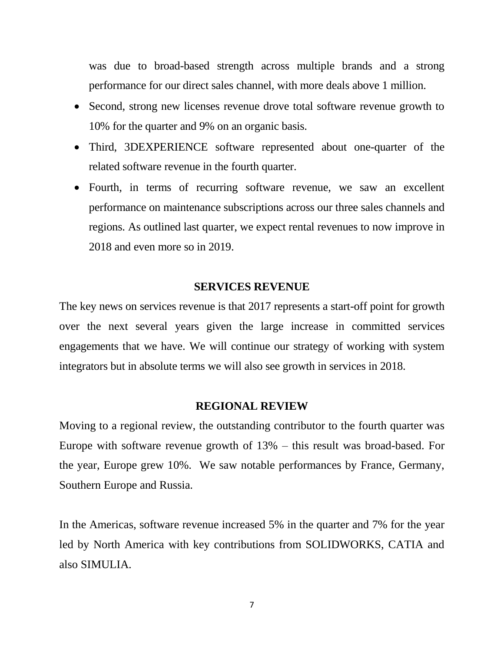was due to broad-based strength across multiple brands and a strong performance for our direct sales channel, with more deals above 1 million.

- Second, strong new licenses revenue drove total software revenue growth to 10% for the quarter and 9% on an organic basis.
- Third, 3DEXPERIENCE software represented about one-quarter of the related software revenue in the fourth quarter.
- Fourth, in terms of recurring software revenue, we saw an excellent performance on maintenance subscriptions across our three sales channels and regions. As outlined last quarter, we expect rental revenues to now improve in 2018 and even more so in 2019.

#### **SERVICES REVENUE**

The key news on services revenue is that 2017 represents a start-off point for growth over the next several years given the large increase in committed services engagements that we have. We will continue our strategy of working with system integrators but in absolute terms we will also see growth in services in 2018.

#### **REGIONAL REVIEW**

Moving to a regional review, the outstanding contributor to the fourth quarter was Europe with software revenue growth of 13% – this result was broad-based. For the year, Europe grew 10%. We saw notable performances by France, Germany, Southern Europe and Russia.

In the Americas, software revenue increased 5% in the quarter and 7% for the year led by North America with key contributions from SOLIDWORKS, CATIA and also SIMULIA.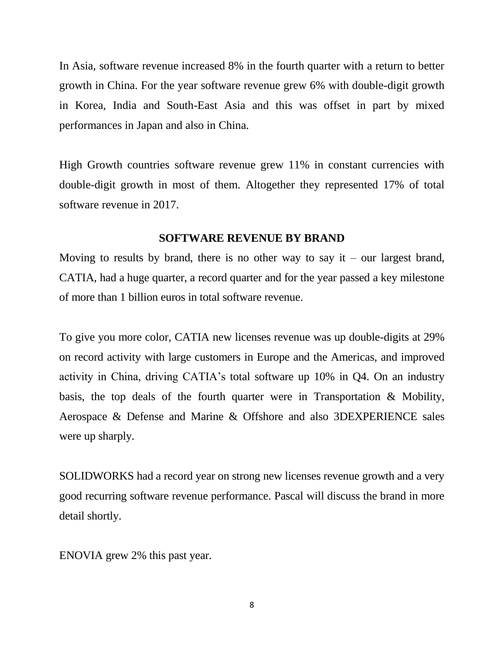In Asia, software revenue increased 8% in the fourth quarter with a return to better growth in China. For the year software revenue grew 6% with double-digit growth in Korea, India and South-East Asia and this was offset in part by mixed performances in Japan and also in China.

High Growth countries software revenue grew 11% in constant currencies with double-digit growth in most of them. Altogether they represented 17% of total software revenue in 2017.

#### **SOFTWARE REVENUE BY BRAND**

Moving to results by brand, there is no other way to say it – our largest brand, CATIA, had a huge quarter, a record quarter and for the year passed a key milestone of more than 1 billion euros in total software revenue.

To give you more color, CATIA new licenses revenue was up double-digits at 29% on record activity with large customers in Europe and the Americas, and improved activity in China, driving CATIA's total software up 10% in Q4. On an industry basis, the top deals of the fourth quarter were in Transportation & Mobility, Aerospace & Defense and Marine & Offshore and also 3DEXPERIENCE sales were up sharply.

SOLIDWORKS had a record year on strong new licenses revenue growth and a very good recurring software revenue performance. Pascal will discuss the brand in more detail shortly.

ENOVIA grew 2% this past year.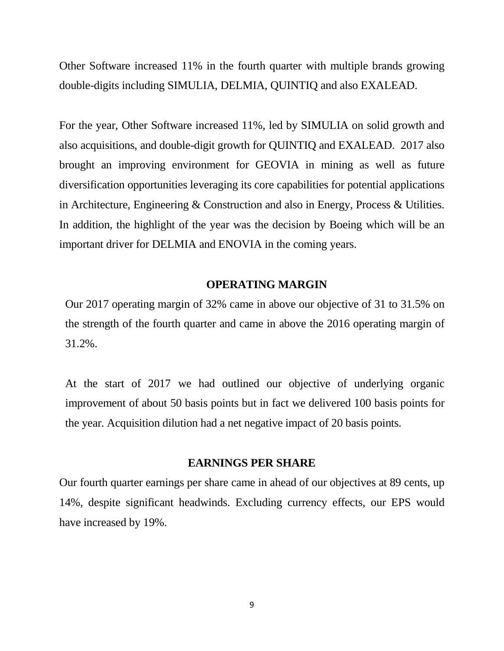Other Software increased 11% in the fourth quarter with multiple brands growing double-digits including SIMULIA, DELMIA, QUINTIQ and also EXALEAD.

For the year, Other Software increased 11%, led by SIMULIA on solid growth and also acquisitions, and double-digit growth for QUINTIQ and EXALEAD. 2017 also brought an improving environment for GEOVIA in mining as well as future diversification opportunities leveraging its core capabilities for potential applications in Architecture, Engineering & Construction and also in Energy, Process & Utilities. In addition, the highlight of the year was the decision by Boeing which will be an important driver for DELMIA and ENOVIA in the coming years.

### **OPERATING MARGIN**

Our 2017 operating margin of 32% came in above our objective of 31 to 31.5% on the strength of the fourth quarter and came in above the 2016 operating margin of 31.2%.

At the start of 2017 we had outlined our objective of underlying organic improvement of about 50 basis points but in fact we delivered 100 basis points for the year. Acquisition dilution had a net negative impact of 20 basis points.

#### **EARNINGS PER SHARE**

Our fourth quarter earnings per share came in ahead of our objectives at 89 cents, up 14%, despite significant headwinds. Excluding currency effects, our EPS would have increased by 19%.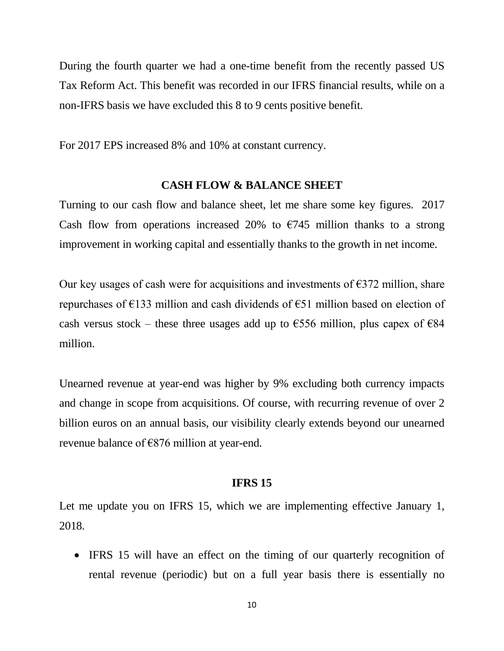During the fourth quarter we had a one-time benefit from the recently passed US Tax Reform Act. This benefit was recorded in our IFRS financial results, while on a non-IFRS basis we have excluded this 8 to 9 cents positive benefit.

For 2017 EPS increased 8% and 10% at constant currency.

#### **CASH FLOW & BALANCE SHEET**

Turning to our cash flow and balance sheet, let me share some key figures. 2017 Cash flow from operations increased 20% to  $\epsilon$ 745 million thanks to a strong improvement in working capital and essentially thanks to the growth in net income.

Our key usages of cash were for acquisitions and investments of  $\epsilon$ 372 million, share repurchases of €133 million and cash dividends of €51 million based on election of cash versus stock – these three usages add up to  $\epsilon$ 556 million, plus capex of  $\epsilon$ 84 million.

Unearned revenue at year-end was higher by 9% excluding both currency impacts and change in scope from acquisitions. Of course, with recurring revenue of over 2 billion euros on an annual basis, our visibility clearly extends beyond our unearned revenue balance of  $\epsilon$ 876 million at year-end.

#### **IFRS 15**

Let me update you on IFRS 15, which we are implementing effective January 1, 2018.

• IFRS 15 will have an effect on the timing of our quarterly recognition of rental revenue (periodic) but on a full year basis there is essentially no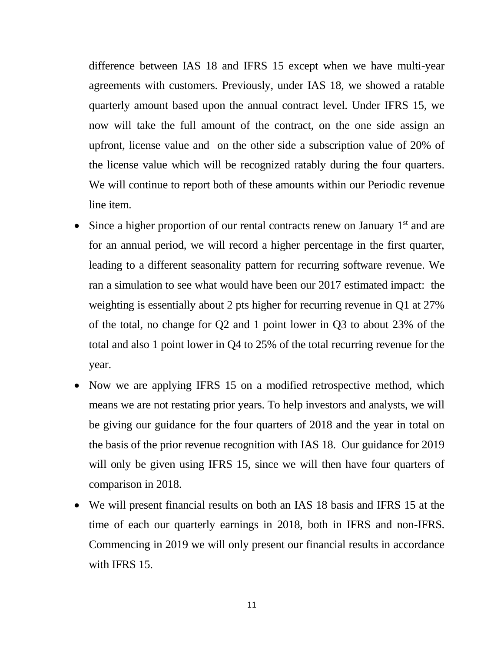difference between IAS 18 and IFRS 15 except when we have multi-year agreements with customers. Previously, under IAS 18, we showed a ratable quarterly amount based upon the annual contract level. Under IFRS 15, we now will take the full amount of the contract, on the one side assign an upfront, license value and on the other side a subscription value of 20% of the license value which will be recognized ratably during the four quarters. We will continue to report both of these amounts within our Periodic revenue line item.

- Since a higher proportion of our rental contracts renew on January  $1<sup>st</sup>$  and are for an annual period, we will record a higher percentage in the first quarter, leading to a different seasonality pattern for recurring software revenue. We ran a simulation to see what would have been our 2017 estimated impact: the weighting is essentially about 2 pts higher for recurring revenue in Q1 at 27% of the total, no change for Q2 and 1 point lower in Q3 to about 23% of the total and also 1 point lower in Q4 to 25% of the total recurring revenue for the year.
- Now we are applying IFRS 15 on a modified retrospective method, which means we are not restating prior years. To help investors and analysts, we will be giving our guidance for the four quarters of 2018 and the year in total on the basis of the prior revenue recognition with IAS 18. Our guidance for 2019 will only be given using IFRS 15, since we will then have four quarters of comparison in 2018.
- We will present financial results on both an IAS 18 basis and IFRS 15 at the time of each our quarterly earnings in 2018, both in IFRS and non-IFRS. Commencing in 2019 we will only present our financial results in accordance with IFRS 15.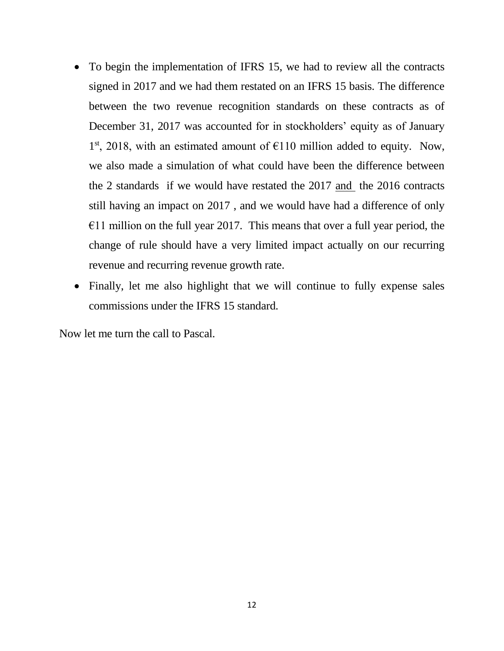- To begin the implementation of IFRS 15, we had to review all the contracts signed in 2017 and we had them restated on an IFRS 15 basis. The difference between the two revenue recognition standards on these contracts as of December 31, 2017 was accounted for in stockholders' equity as of January 1<sup>st</sup>, 2018, with an estimated amount of  $E$ 110 million added to equity. Now, we also made a simulation of what could have been the difference between the 2 standards if we would have restated the 2017 and the 2016 contracts still having an impact on 2017 , and we would have had a difference of only  $€11$  million on the full year 2017. This means that over a full year period, the change of rule should have a very limited impact actually on our recurring revenue and recurring revenue growth rate.
- Finally, let me also highlight that we will continue to fully expense sales commissions under the IFRS 15 standard.

Now let me turn the call to Pascal.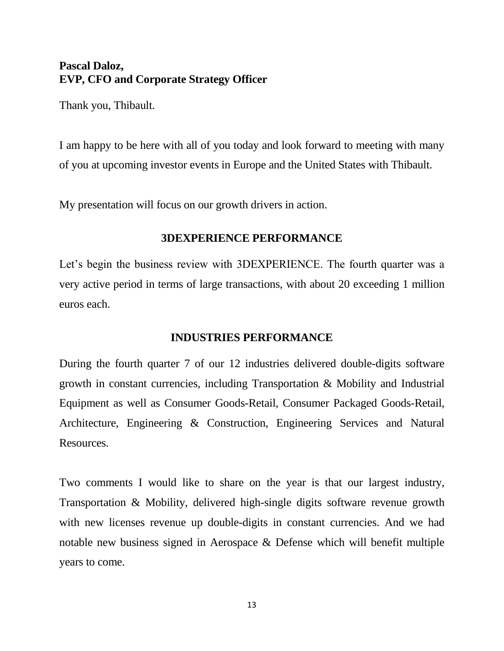# **Pascal Daloz, EVP, CFO and Corporate Strategy Officer**

Thank you, Thibault.

I am happy to be here with all of you today and look forward to meeting with many of you at upcoming investor events in Europe and the United States with Thibault.

My presentation will focus on our growth drivers in action.

# **3DEXPERIENCE PERFORMANCE**

Let's begin the business review with 3DEXPERIENCE. The fourth quarter was a very active period in terms of large transactions, with about 20 exceeding 1 million euros each.

## **INDUSTRIES PERFORMANCE**

During the fourth quarter 7 of our 12 industries delivered double-digits software growth in constant currencies, including Transportation & Mobility and Industrial Equipment as well as Consumer Goods-Retail, Consumer Packaged Goods-Retail, Architecture, Engineering & Construction, Engineering Services and Natural Resources.

Two comments I would like to share on the year is that our largest industry, Transportation & Mobility, delivered high-single digits software revenue growth with new licenses revenue up double-digits in constant currencies. And we had notable new business signed in Aerospace & Defense which will benefit multiple years to come.

13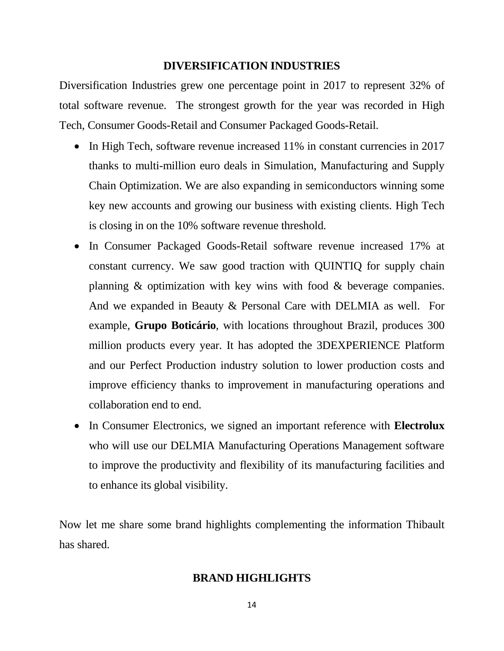### **DIVERSIFICATION INDUSTRIES**

Diversification Industries grew one percentage point in 2017 to represent 32% of total software revenue. The strongest growth for the year was recorded in High Tech, Consumer Goods-Retail and Consumer Packaged Goods-Retail.

- In High Tech, software revenue increased 11% in constant currencies in 2017 thanks to multi-million euro deals in Simulation, Manufacturing and Supply Chain Optimization. We are also expanding in semiconductors winning some key new accounts and growing our business with existing clients. High Tech is closing in on the 10% software revenue threshold.
- In Consumer Packaged Goods-Retail software revenue increased 17% at constant currency. We saw good traction with QUINTIQ for supply chain planning & optimization with key wins with food & beverage companies. And we expanded in Beauty & Personal Care with DELMIA as well. For example, **Grupo Boticário**, with locations throughout Brazil, produces 300 million products every year. It has adopted the 3DEXPERIENCE Platform and our Perfect Production industry solution to lower production costs and improve efficiency thanks to improvement in manufacturing operations and collaboration end to end.
- In Consumer Electronics, we signed an important reference with **Electrolux** who will use our DELMIA Manufacturing Operations Management software to improve the productivity and flexibility of its manufacturing facilities and to enhance its global visibility.

Now let me share some brand highlights complementing the information Thibault has shared.

### **BRAND HIGHLIGHTS**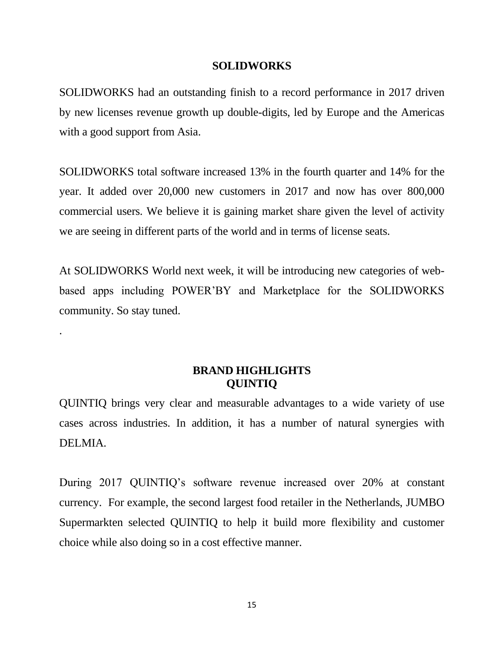#### **SOLIDWORKS**

SOLIDWORKS had an outstanding finish to a record performance in 2017 driven by new licenses revenue growth up double-digits, led by Europe and the Americas with a good support from Asia.

SOLIDWORKS total software increased 13% in the fourth quarter and 14% for the year. It added over 20,000 new customers in 2017 and now has over 800,000 commercial users. We believe it is gaining market share given the level of activity we are seeing in different parts of the world and in terms of license seats.

At SOLIDWORKS World next week, it will be introducing new categories of webbased apps including POWER'BY and Marketplace for the SOLIDWORKS community. So stay tuned.

.

# **BRAND HIGHLIGHTS QUINTIQ**

QUINTIQ brings very clear and measurable advantages to a wide variety of use cases across industries. In addition, it has a number of natural synergies with DELMIA.

During 2017 QUINTIQ's software revenue increased over 20% at constant currency. For example, the second largest food retailer in the Netherlands, JUMBO Supermarkten selected QUINTIQ to help it build more flexibility and customer choice while also doing so in a cost effective manner.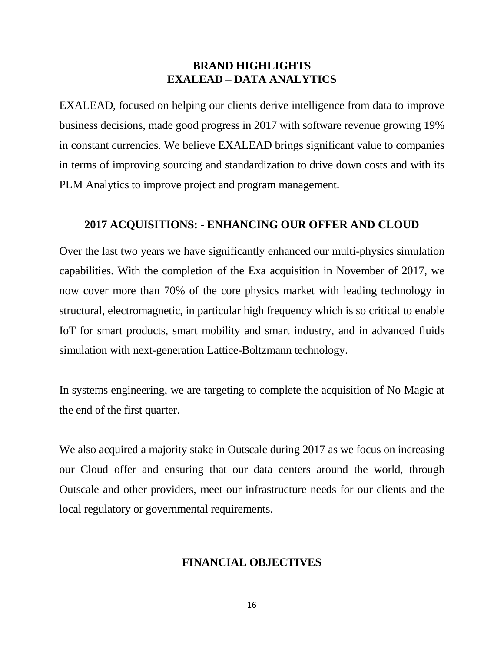## **BRAND HIGHLIGHTS EXALEAD – DATA ANALYTICS**

EXALEAD, focused on helping our clients derive intelligence from data to improve business decisions, made good progress in 2017 with software revenue growing 19% in constant currencies. We believe EXALEAD brings significant value to companies in terms of improving sourcing and standardization to drive down costs and with its PLM Analytics to improve project and program management.

### **2017 ACQUISITIONS: - ENHANCING OUR OFFER AND CLOUD**

Over the last two years we have significantly enhanced our multi-physics simulation capabilities. With the completion of the Exa acquisition in November of 2017, we now cover more than 70% of the core physics market with leading technology in structural, electromagnetic, in particular high frequency which is so critical to enable IoT for smart products, smart mobility and smart industry, and in advanced fluids simulation with next-generation Lattice-Boltzmann technology.

In systems engineering, we are targeting to complete the acquisition of No Magic at the end of the first quarter.

We also acquired a majority stake in Outscale during 2017 as we focus on increasing our Cloud offer and ensuring that our data centers around the world, through Outscale and other providers, meet our infrastructure needs for our clients and the local regulatory or governmental requirements.

## **FINANCIAL OBJECTIVES**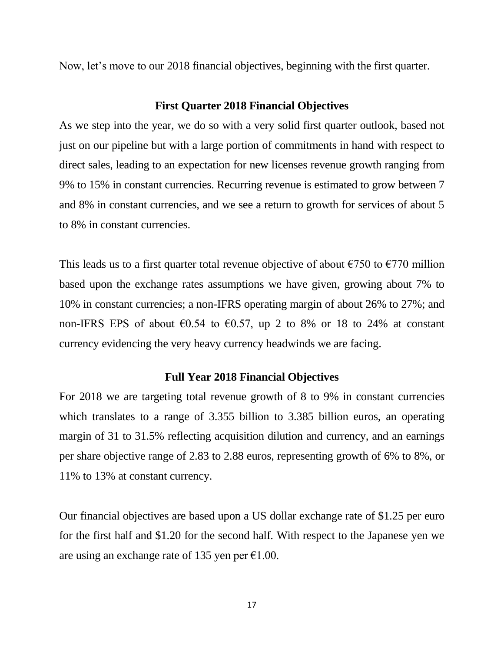Now, let's move to our 2018 financial objectives, beginning with the first quarter.

#### **First Quarter 2018 Financial Objectives**

As we step into the year, we do so with a very solid first quarter outlook, based not just on our pipeline but with a large portion of commitments in hand with respect to direct sales, leading to an expectation for new licenses revenue growth ranging from 9% to 15% in constant currencies. Recurring revenue is estimated to grow between 7 and 8% in constant currencies, and we see a return to growth for services of about 5 to 8% in constant currencies.

This leads us to a first quarter total revenue objective of about  $\epsilon$ 750 to  $\epsilon$ 770 million based upon the exchange rates assumptions we have given, growing about 7% to 10% in constant currencies; a non-IFRS operating margin of about 26% to 27%; and non-IFRS EPS of about  $\epsilon$ 0.54 to  $\epsilon$ 0.57, up 2 to 8% or 18 to 24% at constant currency evidencing the very heavy currency headwinds we are facing.

#### **Full Year 2018 Financial Objectives**

For 2018 we are targeting total revenue growth of 8 to 9% in constant currencies which translates to a range of 3.355 billion to 3.385 billion euros, an operating margin of 31 to 31.5% reflecting acquisition dilution and currency, and an earnings per share objective range of 2.83 to 2.88 euros, representing growth of 6% to 8%, or 11% to 13% at constant currency.

Our financial objectives are based upon a US dollar exchange rate of \$1.25 per euro for the first half and \$1.20 for the second half. With respect to the Japanese yen we are using an exchange rate of 135 yen per  $\epsilon$ 1.00.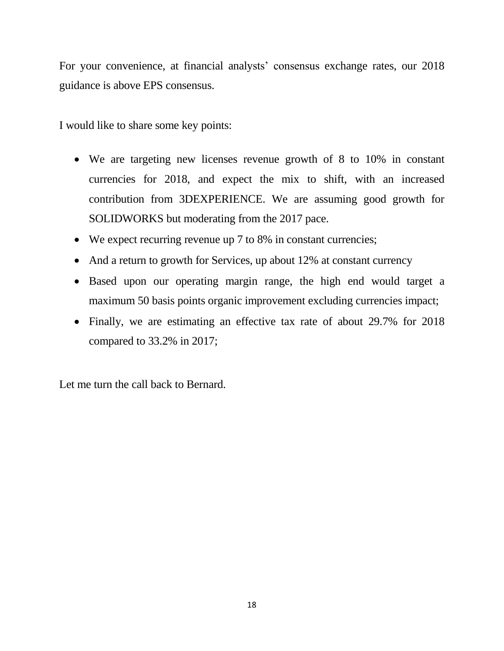For your convenience, at financial analysts' consensus exchange rates, our 2018 guidance is above EPS consensus.

I would like to share some key points:

- We are targeting new licenses revenue growth of 8 to 10% in constant currencies for 2018, and expect the mix to shift, with an increased contribution from 3DEXPERIENCE. We are assuming good growth for SOLIDWORKS but moderating from the 2017 pace.
- We expect recurring revenue up 7 to 8% in constant currencies;
- And a return to growth for Services, up about 12% at constant currency
- Based upon our operating margin range, the high end would target a maximum 50 basis points organic improvement excluding currencies impact;
- Finally, we are estimating an effective tax rate of about 29.7% for 2018 compared to 33.2% in 2017;

Let me turn the call back to Bernard.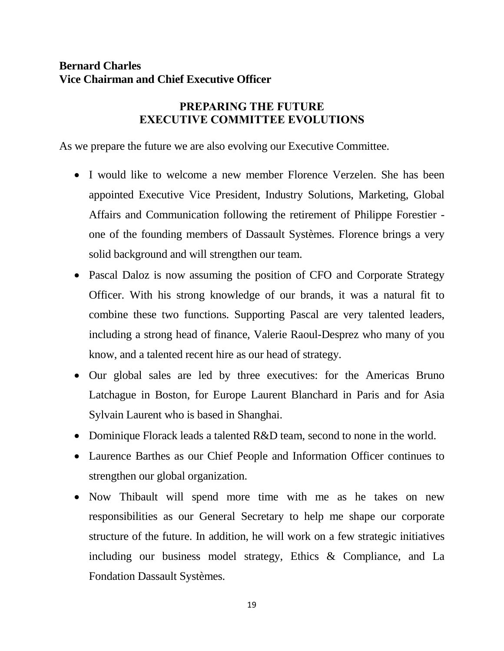# **Bernard Charles Vice Chairman and Chief Executive Officer**

# **PREPARING THE FUTURE EXECUTIVE COMMITTEE EVOLUTIONS**

As we prepare the future we are also evolving our Executive Committee.

- I would like to welcome a new member Florence Verzelen. She has been appointed Executive Vice President, Industry Solutions, Marketing, Global Affairs and Communication following the retirement of Philippe Forestier one of the founding members of Dassault Systèmes. Florence brings a very solid background and will strengthen our team.
- Pascal Daloz is now assuming the position of CFO and Corporate Strategy Officer. With his strong knowledge of our brands, it was a natural fit to combine these two functions. Supporting Pascal are very talented leaders, including a strong head of finance, Valerie Raoul-Desprez who many of you know, and a talented recent hire as our head of strategy.
- Our global sales are led by three executives: for the Americas Bruno Latchague in Boston, for Europe Laurent Blanchard in Paris and for Asia Sylvain Laurent who is based in Shanghai.
- Dominique Florack leads a talented R&D team, second to none in the world.
- Laurence Barthes as our Chief People and Information Officer continues to strengthen our global organization.
- Now Thibault will spend more time with me as he takes on new responsibilities as our General Secretary to help me shape our corporate structure of the future. In addition, he will work on a few strategic initiatives including our business model strategy, Ethics & Compliance, and La Fondation Dassault Systèmes.